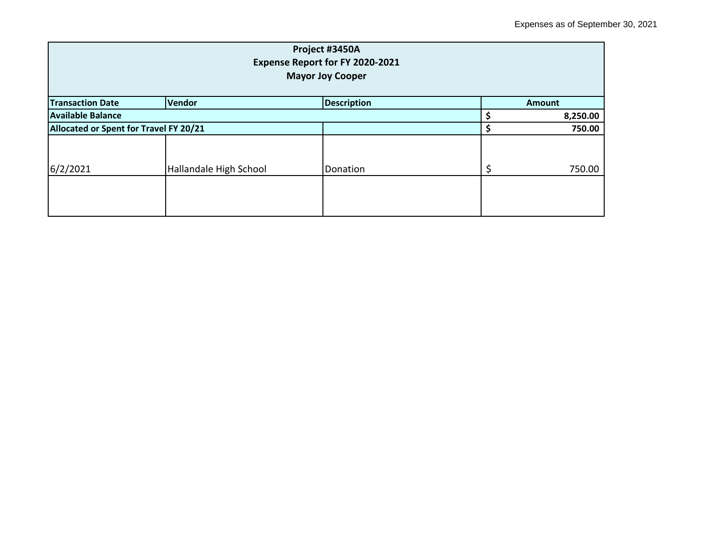| Project #3450A<br>Expense Report for FY 2020-2021<br><b>Mayor Joy Cooper</b> |                        |          |  |          |  |
|------------------------------------------------------------------------------|------------------------|----------|--|----------|--|
| Vendor<br><b>Description</b><br><b>Transaction Date</b><br><b>Amount</b>     |                        |          |  |          |  |
| <b>Available Balance</b>                                                     |                        |          |  | 8,250.00 |  |
| Allocated or Spent for Travel FY 20/21                                       |                        |          |  | 750.00   |  |
| 6/2/2021                                                                     | Hallandale High School | Donation |  | 750.00   |  |
|                                                                              |                        |          |  |          |  |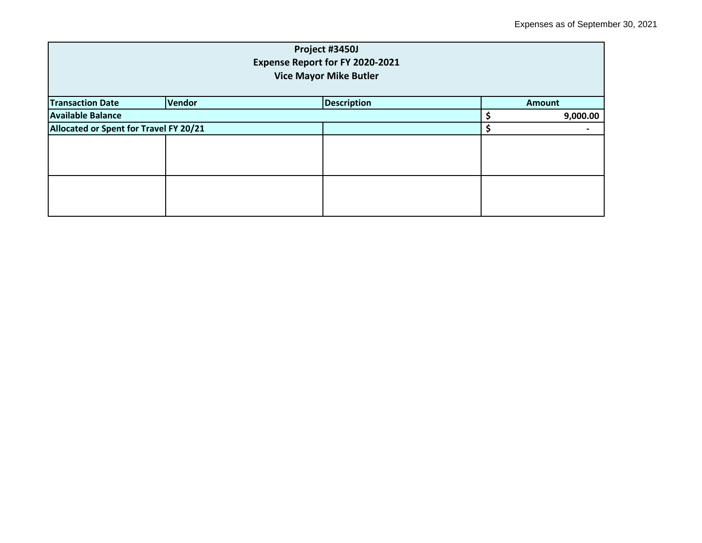| Project #3450J<br>Expense Report for FY 2020-2021<br><b>Vice Mayor Mike Butler</b> |  |  |  |               |  |
|------------------------------------------------------------------------------------|--|--|--|---------------|--|
| Vendor<br><b>Description</b><br><b>Transaction Date</b>                            |  |  |  | <b>Amount</b> |  |
| <b>Available Balance</b>                                                           |  |  |  | 9,000.00      |  |
| Allocated or Spent for Travel FY 20/21                                             |  |  |  |               |  |
|                                                                                    |  |  |  |               |  |
|                                                                                    |  |  |  |               |  |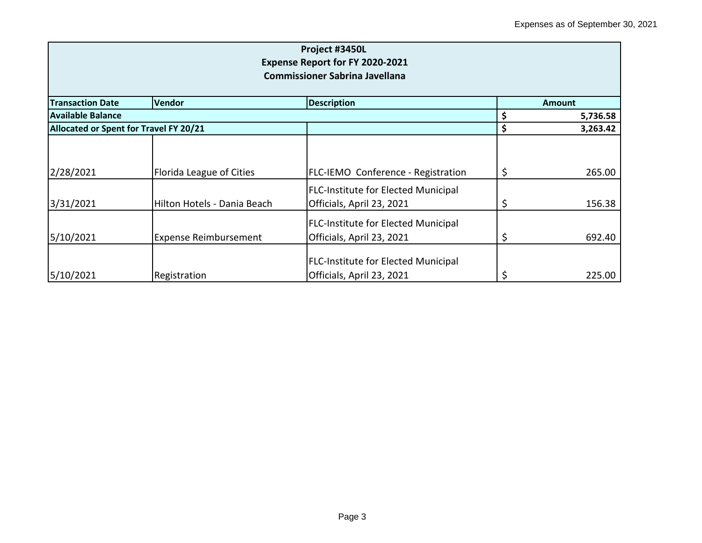| Project #3450L<br>Expense Report for FY 2020-2021<br><b>Commissioner Sabrina Javellana</b> |                              |                                                                         |    |               |  |
|--------------------------------------------------------------------------------------------|------------------------------|-------------------------------------------------------------------------|----|---------------|--|
| <b>Transaction Date</b>                                                                    | Vendor                       | <b>Description</b>                                                      |    | <b>Amount</b> |  |
| Available Balance                                                                          |                              |                                                                         |    | 5,736.58      |  |
| Allocated or Spent for Travel FY 20/21                                                     |                              |                                                                         | \$ | 3,263.42      |  |
| 2/28/2021                                                                                  | Florida League of Cities     | <b>FLC-IEMO Conference - Registration</b>                               | \$ | 265.00        |  |
| 3/31/2021                                                                                  | Hilton Hotels - Dania Beach  | <b>FLC-Institute for Elected Municipal</b><br>Officials, April 23, 2021 |    | 156.38        |  |
| 5/10/2021                                                                                  | <b>Expense Reimbursement</b> | <b>FLC-Institute for Elected Municipal</b><br>Officials, April 23, 2021 | \$ | 692.40        |  |
| 5/10/2021                                                                                  | Registration                 | <b>FLC-Institute for Elected Municipal</b><br>Officials, April 23, 2021 |    | 225.00        |  |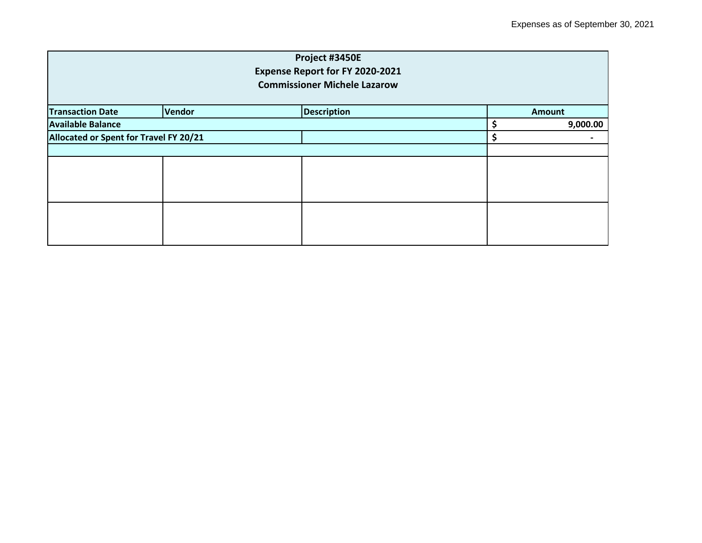| Project #3450E<br>Expense Report for FY 2020-2021<br><b>Commissioner Michele Lazarow</b> |        |                    |    |               |  |
|------------------------------------------------------------------------------------------|--------|--------------------|----|---------------|--|
| <b>Transaction Date</b>                                                                  | Vendor | <b>Description</b> |    | <b>Amount</b> |  |
| <b>Available Balance</b>                                                                 |        |                    |    | 9,000.00      |  |
| Allocated or Spent for Travel FY 20/21                                                   |        |                    | \$ |               |  |
|                                                                                          |        |                    |    |               |  |
|                                                                                          |        |                    |    |               |  |
|                                                                                          |        |                    |    |               |  |
|                                                                                          |        |                    |    |               |  |